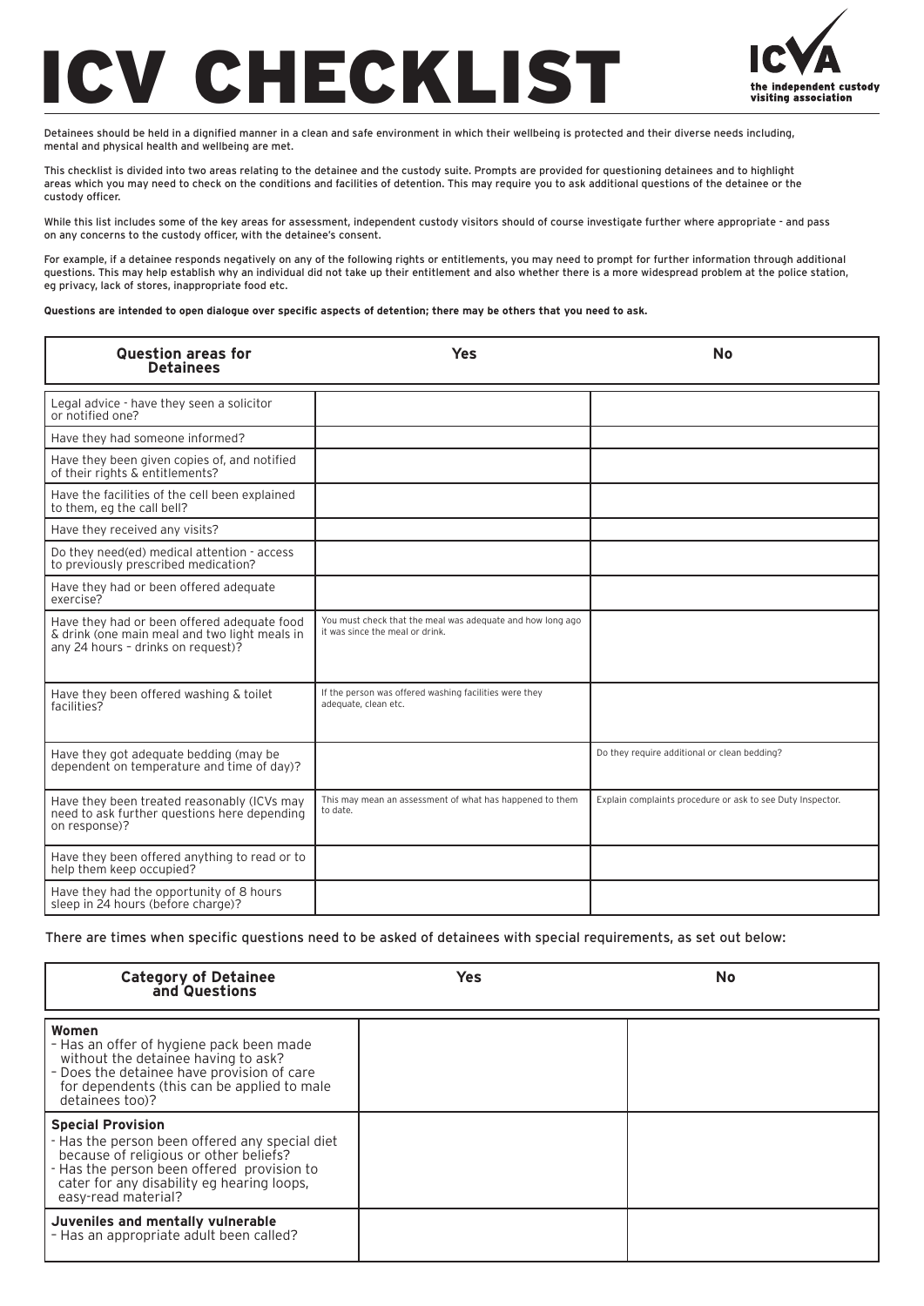## CHECKLIST



Detainees should be held in a dignified manner in a clean and safe environment in which their wellbeing is protected and their diverse needs including, mental and physical health and wellbeing are met.

This checklist is divided into two areas relating to the detainee and the custody suite. Prompts are provided for questioning detainees and to highlight areas which you may need to check on the conditions and facilities of detention. This may require you to ask additional questions of the detainee or the custody officer.

While this list includes some of the key areas for assessment, independent custody visitors should of course investigate further where appropriate - and pass on any concerns to the custody officer, with the detainee's consent.

For example, if a detainee responds negatively on any of the following rights or entitlements, you may need to prompt for further information through additional questions. This may help establish why an individual did not take up their entitlement and also whether there is a more widespread problem at the police station, eg privacy, lack of stores, inappropriate food etc.

**Questions are intended to open dialogue over specific aspects of detention; there may be others that you need to ask.** 

| <b>Question areas for</b><br><b>Detainees</b>                                                                                      | <b>Yes</b>                                                                                    | <b>No</b>                                                  |  |  |  |  |
|------------------------------------------------------------------------------------------------------------------------------------|-----------------------------------------------------------------------------------------------|------------------------------------------------------------|--|--|--|--|
| Legal advice - have they seen a solicitor<br>or notified one?                                                                      |                                                                                               |                                                            |  |  |  |  |
| Have they had someone informed?                                                                                                    |                                                                                               |                                                            |  |  |  |  |
| Have they been given copies of, and notified<br>of their rights & entitlements?                                                    |                                                                                               |                                                            |  |  |  |  |
| Have the facilities of the cell been explained<br>to them, eq the call bell?                                                       |                                                                                               |                                                            |  |  |  |  |
| Have they received any visits?                                                                                                     |                                                                                               |                                                            |  |  |  |  |
| Do they need(ed) medical attention - access<br>to previously prescribed medication?                                                |                                                                                               |                                                            |  |  |  |  |
| Have they had or been offered adequate<br>exercise?                                                                                |                                                                                               |                                                            |  |  |  |  |
| Have they had or been offered adequate food<br>& drink (one main meal and two light meals in<br>any 24 hours - drinks on request)? | You must check that the meal was adequate and how long ago<br>it was since the meal or drink. |                                                            |  |  |  |  |
| Have they been offered washing & toilet<br>facilities?                                                                             | If the person was offered washing facilities were they<br>adequate, clean etc.                |                                                            |  |  |  |  |
| Have they got adequate bedding (may be<br>dependent on temperature and time of day)?                                               |                                                                                               | Do they require additional or clean bedding?               |  |  |  |  |
| Have they been treated reasonably (ICVs may<br>need to ask further questions here depending<br>on response)?                       | This may mean an assessment of what has happened to them<br>to date.                          | Explain complaints procedure or ask to see Duty Inspector. |  |  |  |  |
| Have they been offered anything to read or to<br>help them keep occupied?                                                          |                                                                                               |                                                            |  |  |  |  |
| Have they had the opportunity of 8 hours<br>sleep in 24 hours (before charge)?                                                     |                                                                                               |                                                            |  |  |  |  |

There are times when specific questions need to be asked of detainees with special requirements, as set out below:

| <b>Category of Detainee<br/>and Questions</b>                                                                                                                                                                                           | Yes | <b>No</b> |
|-----------------------------------------------------------------------------------------------------------------------------------------------------------------------------------------------------------------------------------------|-----|-----------|
| Women<br>- Has an offer of hygiene pack been made<br>without the detainee having to ask?<br>- Does the detainee have provision of care<br>for dependents (this can be applied to male<br>detainees too)?                                |     |           |
| <b>Special Provision</b><br>- Has the person been offered any special diet<br>because of religious or other beliefs?<br>- Has the person been offered provision to<br>cater for any disability eg hearing loops,<br>easy-read material? |     |           |
| Juveniles and mentally vulnerable<br>- Has an appropriate adult been called?                                                                                                                                                            |     |           |